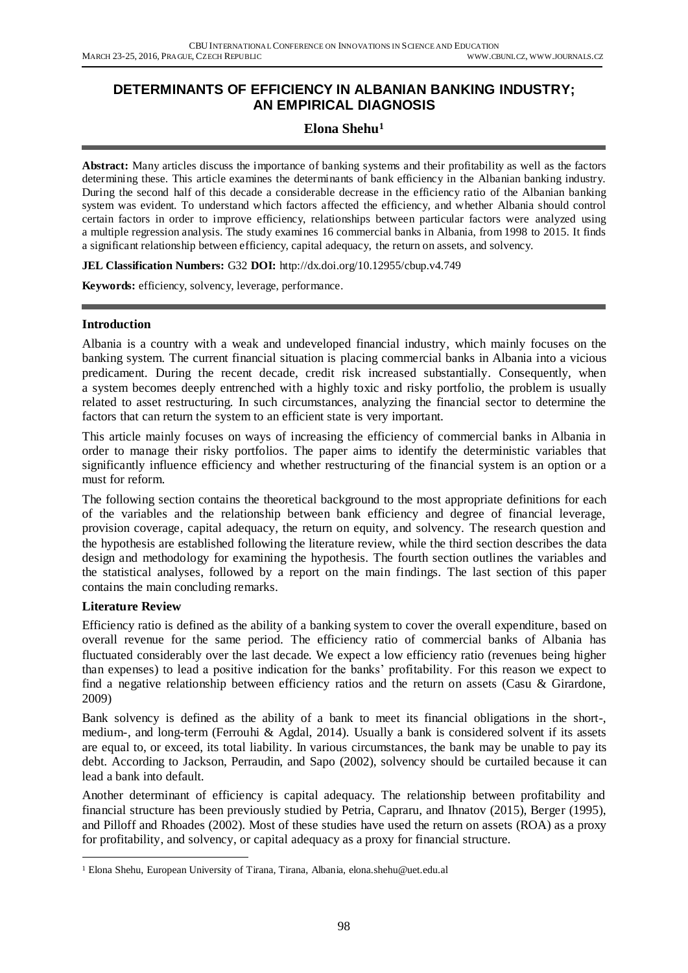## **DETERMINANTS OF EFFICIENCY IN ALBANIAN BANKING INDUSTRY; AN EMPIRICAL DIAGNOSIS**

# **Elona Shehu<sup>1</sup>**

**Abstract:** Many articles discuss the importance of banking systems and their profitability as well as the factors determining these. This article examines the determinants of bank efficiency in the Albanian banking industry. During the second half of this decade a considerable decrease in the efficiency ratio of the Albanian banking system was evident. To understand which factors affected the efficiency, and whether Albania should control certain factors in order to improve efficiency, relationships between particular factors were analyzed using a multiple regression analysis. The study examines 16 commercial banks in Albania, from 1998 to 2015. It finds a significant relationship between efficiency, capital adequacy, the return on assets, and solvency.

**JEL Classification Numbers:** G32 **DOI:** http://dx.doi.org/10.12955/cbup.v4.749

**Keywords:** efficiency, solvency, leverage, performance.

#### **Introduction**

Albania is a country with a weak and undeveloped financial industry, which mainly focuses on the banking system. The current financial situation is placing commercial banks in Albania into a vicious predicament. During the recent decade, credit risk increased substantially. Consequently, when a system becomes deeply entrenched with a highly toxic and risky portfolio, the problem is usually related to asset restructuring. In such circumstances, analyzing the financial sector to determine the factors that can return the system to an efficient state is very important.

This article mainly focuses on ways of increasing the efficiency of commercial banks in Albania in order to manage their risky portfolios. The paper aims to identify the deterministic variables that significantly influence efficiency and whether restructuring of the financial system is an option or a must for reform.

The following section contains the theoretical background to the most appropriate definitions for each of the variables and the relationship between bank efficiency and degree of financial leverage, provision coverage, capital adequacy, the return on equity, and solvency. The research question and the hypothesis are established following the literature review, while the third section describes the data design and methodology for examining the hypothesis. The fourth section outlines the variables and the statistical analyses, followed by a report on the main findings. The last section of this paper contains the main concluding remarks.

#### **Literature Review**

 $\overline{a}$ 

Efficiency ratio is defined as the ability of a banking system to cover the overall expenditure, based on overall revenue for the same period. The efficiency ratio of commercial banks of Albania has fluctuated considerably over the last decade. We expect a low efficiency ratio (revenues being higher than expenses) to lead a positive indication for the banks' profitability. For this reason we expect to find a negative relationship between efficiency ratios and the return on assets (Casu & Girardone, 2009)

Bank solvency is defined as the ability of a bank to meet its financial obligations in the short-, medium-, and long-term (Ferrouhi & Agdal, 2014). Usually a bank is considered solvent if its assets are equal to, or exceed, its total liability. In various circumstances, the bank may be unable to pay its debt. According to Jackson, Perraudin, and Sapo (2002), solvency should be curtailed because it can lead a bank into default.

Another determinant of efficiency is capital adequacy. The relationship between profitability and financial structure has been previously studied by Petria, Capraru, and Ihnatov (2015), Berger (1995), and Pilloff and Rhoades (2002). Most of these studies have used the return on assets (ROA) as a proxy for profitability, and solvency, or capital adequacy as a proxy for financial structure.

<sup>1</sup> Elona Shehu, European University of Tirana, Tirana, Albania, elona.shehu@uet.edu.al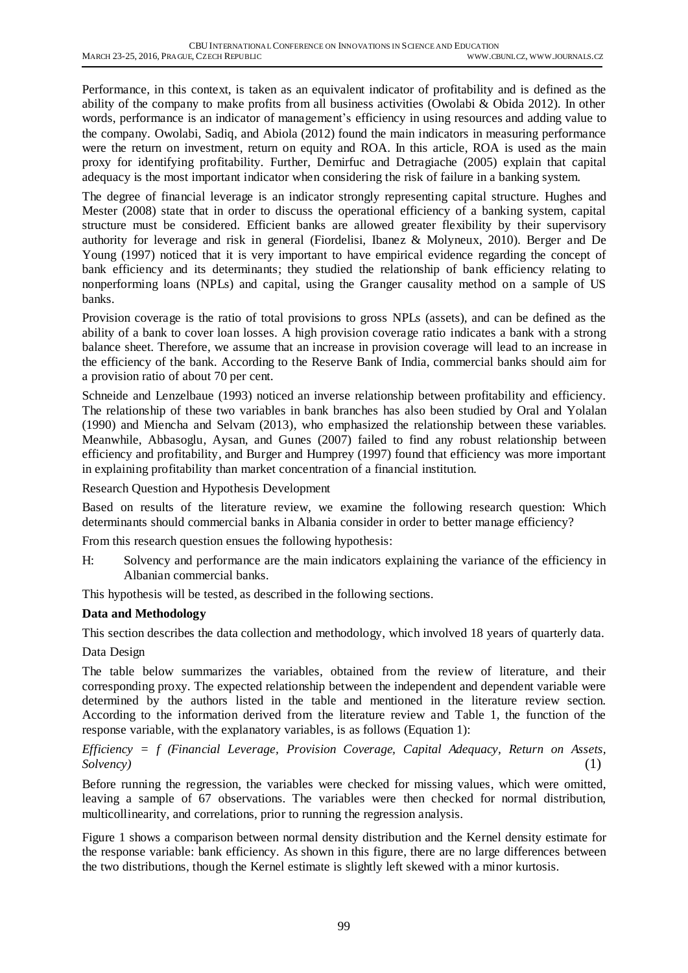Performance, in this context, is taken as an equivalent indicator of profitability and is defined as the ability of the company to make profits from all business activities (Owolabi & Obida 2012). In other words, performance is an indicator of management's efficiency in using resources and adding value to the company. Owolabi, Sadiq, and Abiola (2012) found the main indicators in measuring performance were the return on investment, return on equity and ROA. In this article, ROA is used as the main proxy for identifying profitability. Further, Demirfuc and Detragiache (2005) explain that capital adequacy is the most important indicator when considering the risk of failure in a banking system.

The degree of financial leverage is an indicator strongly representing capital structure. Hughes and Mester (2008) state that in order to discuss the operational efficiency of a banking system, capital structure must be considered. Efficient banks are allowed greater flexibility by their supervisory authority for leverage and risk in general (Fiordelisi, Ibanez & Molyneux, 2010). Berger and De Young (1997) noticed that it is very important to have empirical evidence regarding the concept of bank efficiency and its determinants; they studied the relationship of bank efficiency relating to nonperforming loans (NPLs) and capital, using the Granger causality method on a sample of US banks.

Provision coverage is the ratio of total provisions to gross NPLs (assets), and can be defined as the ability of a bank to cover loan losses. A high provision coverage ratio indicates a bank with a strong balance sheet. Therefore, we assume that an increase in provision coverage will lead to an increase in the efficiency of the bank. According to the Reserve Bank of India, commercial banks should aim for a provision ratio of about 70 per cent.

Schneide and Lenzelbaue (1993) noticed an inverse relationship between profitability and efficiency. The relationship of these two variables in bank branches has also been studied by Oral and Yolalan (1990) and Miencha and Selvam (2013), who emphasized the relationship between these variables. Meanwhile, Abbasoglu, Aysan, and Gunes (2007) failed to find any robust relationship between efficiency and profitability, and Burger and Humprey (1997) found that efficiency was more important in explaining profitability than market concentration of a financial institution.

Research Question and Hypothesis Development

Based on results of the literature review, we examine the following research question: Which determinants should commercial banks in Albania consider in order to better manage efficiency?

From this research question ensues the following hypothesis:

H: Solvency and performance are the main indicators explaining the variance of the efficiency in Albanian commercial banks.

This hypothesis will be tested, as described in the following sections.

### **Data and Methodology**

This section describes the data collection and methodology, which involved 18 years of quarterly data.

Data Design

The table below summarizes the variables, obtained from the review of literature, and their corresponding proxy. The expected relationship between the independent and dependent variable were determined by the authors listed in the table and mentioned in the literature review section. According to the information derived from the literature review and Table 1, the function of the response variable, with the explanatory variables, is as follows (Equation 1):

*Efficiency = f (Financial Leverage, Provision Coverage, Capital Adequacy, Return on Assets, Solvency)* (1)

Before running the regression, the variables were checked for missing values, which were omitted, leaving a sample of 67 observations. The variables were then checked for normal distribution, multicollinearity, and correlations, prior to running the regression analysis.

Figure 1 shows a comparison between normal density distribution and the Kernel density estimate for the response variable: bank efficiency. As shown in this figure, there are no large differences between the two distributions, though the Kernel estimate is slightly left skewed with a minor kurtosis.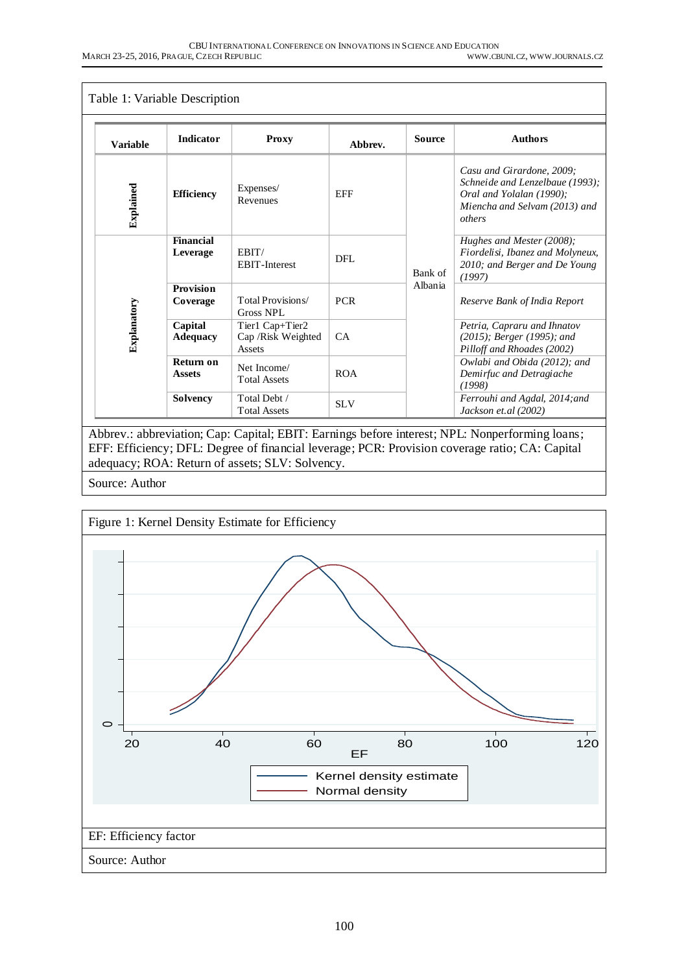| Table 1: Variable Description |                            |                                                  |            |               |                                                                                                                                     |  |  |
|-------------------------------|----------------------------|--------------------------------------------------|------------|---------------|-------------------------------------------------------------------------------------------------------------------------------------|--|--|
| <b>Variable</b>               | <b>Indicator</b>           | <b>Proxy</b>                                     | Abbrev.    | <b>Source</b> | <b>Authors</b>                                                                                                                      |  |  |
| Explained                     | <b>Efficiency</b>          | Expenses/<br>Revenues                            | <b>EFF</b> |               | Casu and Girardone, 2009;<br>Schneide and Lenzelbaue (1993);<br>Oral and Yolalan (1990);<br>Miencha and Selvam (2013) and<br>others |  |  |
|                               | Financial<br>Leverage      | EBIT/<br><b>EBIT-Interest</b>                    | DFL        | Bank of       | Hughes and Mester $(2008)$ ;<br>Fiordelisi, Ibanez and Molyneux,<br>2010; and Berger and De Young<br>(1997)                         |  |  |
|                               | Provision<br>Coverage      | Total Provisions/<br>Gross NPL                   | <b>PCR</b> | Albania       | Reserve Bank of India Report                                                                                                        |  |  |
| Explanatory                   | Capital<br><b>Adequacy</b> | Tier1 Cap+Tier2<br>Cap / Risk Weighted<br>Assets | CA         |               | Petria, Capraru and Ihnatov<br>$(2015)$ ; Berger (1995); and<br>Pilloff and Rhoades (2002)                                          |  |  |
|                               | Return on<br><b>Assets</b> | Net Income/<br><b>Total Assets</b>               | <b>ROA</b> |               | Owlabi and Obida (2012); and<br>Demirfuc and Detragiache<br>(1998)                                                                  |  |  |
|                               | <b>Solvency</b>            | Total Debt /<br><b>Total Assets</b>              | <b>SLV</b> |               | Ferrouhi and Agdal, 2014; and<br>Jackson et.al (2002)                                                                               |  |  |

Abbrev.: abbreviation; Cap: Capital; EBIT: Earnings before interest; NPL: Nonperforming loans; EFF: Efficiency; DFL: Degree of financial leverage; PCR: Provision coverage ratio; CA: Capital adequacy; ROA: Return of assets; SLV: Solvency.

Source: Author

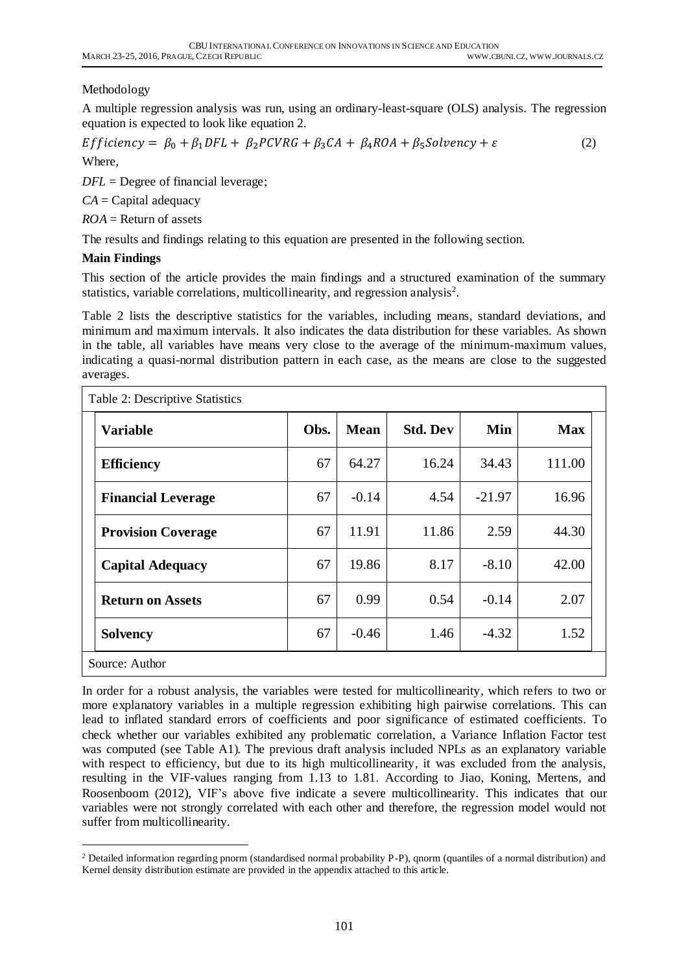## Methodology

A multiple regression analysis was run, using an ordinary-least-square (OLS) analysis. The regression equation is expected to look like equation 2.

$$
Efficiency = \beta_0 + \beta_1 DFL + \beta_2 PCVRG + \beta_3 CA + \beta_4 ROA + \beta_5 Solvency + \varepsilon
$$
 (2)

Where,

*DFL* = Degree of financial leverage;

*CA* = Capital adequacy

*ROA* = Return of assets

The results and findings relating to this equation are presented in the following section.

### **Main Findings**

This section of the article provides the main findings and a structured examination of the summary statistics, variable correlations, multicollinearity, and regression analysis<sup>2</sup>.

Table 2 lists the descriptive statistics for the variables, including means, standard deviations, and minimum and maximum intervals. It also indicates the data distribution for these variables. As shown in the table, all variables have means very close to the average of the minimum-maximum values, indicating a quasi-normal distribution pattern in each case, as the means are close to the suggested averages.

| Table 2: Descriptive Statistics |      |             |                 |          |            |  |  |
|---------------------------------|------|-------------|-----------------|----------|------------|--|--|
| <b>Variable</b>                 | Obs. | <b>Mean</b> | <b>Std. Dev</b> | Min      | <b>Max</b> |  |  |
| <b>Efficiency</b>               | 67   | 64.27       | 16.24           | 34.43    | 111.00     |  |  |
| <b>Financial Leverage</b>       | 67   | $-0.14$     | 4.54            | $-21.97$ | 16.96      |  |  |
| <b>Provision Coverage</b>       | 67   | 11.91       | 11.86           | 2.59     | 44.30      |  |  |
| <b>Capital Adequacy</b>         | 67   | 19.86       | 8.17            | $-8.10$  | 42.00      |  |  |
| <b>Return on Assets</b>         | 67   | 0.99        | 0.54            | $-0.14$  | 2.07       |  |  |
| <b>Solvency</b>                 | 67   | $-0.46$     | 1.46            | $-4.32$  | 1.52       |  |  |
| Source: Author                  |      |             |                 |          |            |  |  |

In order for a robust analysis, the variables were tested for multicollinearity, which refers to two or more explanatory variables in a multiple regression exhibiting high pairwise correlations. This can lead to inflated standard errors of coefficients and poor significance of estimated coefficients. To check whether our variables exhibited any problematic correlation, a Variance Inflation Factor test was computed (see Table A1). The previous draft analysis included NPLs as an explanatory variable with respect to efficiency, but due to its high multicollinearity, it was excluded from the analysis, resulting in the VIF-values ranging from 1.13 to 1.81. According to Jiao, Koning, Mertens, and Roosenboom (2012), VIF's above five indicate a severe multicollinearity. This indicates that our variables were not strongly correlated with each other and therefore, the regression model would not suffer from multicollinearity.

 $\overline{a}$ <sup>2</sup> Detailed information regarding pnorm (standardised normal probability P-P), qnorm (quantiles of a normal distribution) and Kernel density distribution estimate are provided in the appendix attached to this article.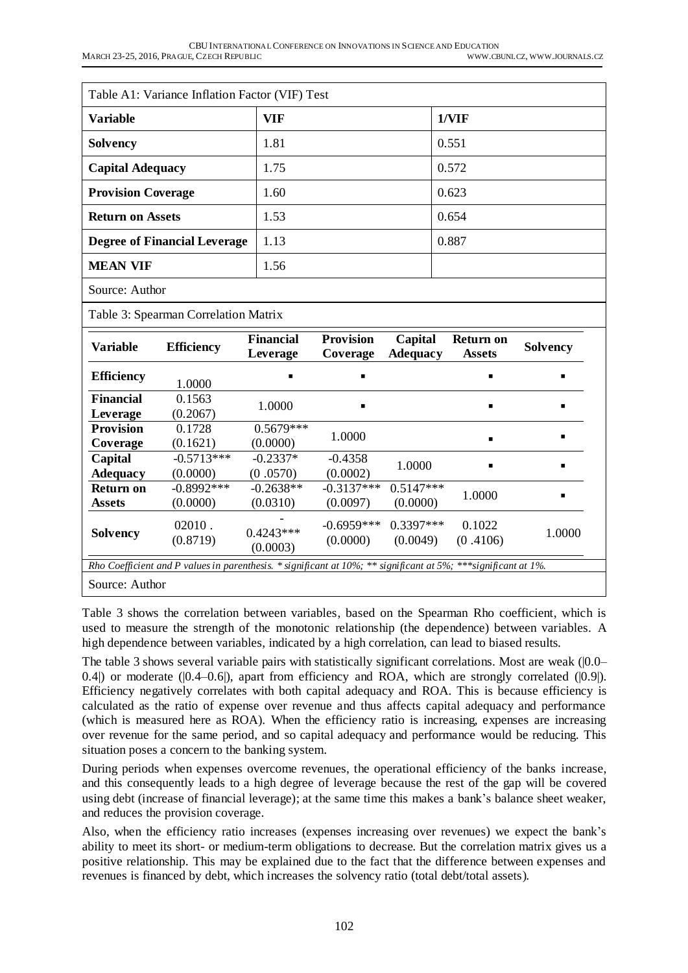| Table A1: Variance Inflation Factor (VIF) Test |      |       |  |  |  |  |
|------------------------------------------------|------|-------|--|--|--|--|
| <b>Variable</b>                                | VIF  | 1/VIF |  |  |  |  |
| <b>Solvency</b>                                | 1.81 | 0.551 |  |  |  |  |
| <b>Capital Adequacy</b>                        | 1.75 | 0.572 |  |  |  |  |
| <b>Provision Coverage</b>                      | 1.60 | 0.623 |  |  |  |  |
| <b>Return on Assets</b>                        | 1.53 | 0.654 |  |  |  |  |
| <b>Degree of Financial Leverage</b>            | 1.13 | 0.887 |  |  |  |  |
| <b>MEAN VIF</b>                                | 1.56 |       |  |  |  |  |
| Source: Author                                 |      |       |  |  |  |  |

Table 3: Spearman Correlation Matrix

| <b>Variable</b>                                                                                                     | <b>Efficiency</b>        | <b>Financial</b><br>Leverage | <b>Provision</b><br>Coverage | Capital<br><b>Adequacy</b> | <b>Return on</b><br><b>Assets</b> | <b>Solvency</b> |  |
|---------------------------------------------------------------------------------------------------------------------|--------------------------|------------------------------|------------------------------|----------------------------|-----------------------------------|-----------------|--|
| <b>Efficiency</b>                                                                                                   | 1.0000                   |                              | п                            |                            |                                   |                 |  |
| <b>Financial</b><br>Leverage                                                                                        | 0.1563<br>(0.2067)       | 1.0000                       | $\blacksquare$               |                            |                                   | $\blacksquare$  |  |
| <b>Provision</b><br>Coverage                                                                                        | 0.1728<br>(0.1621)       | $0.5679***$<br>(0.0000)      | 1.0000                       |                            |                                   |                 |  |
| Capital<br><b>Adequacy</b>                                                                                          | $-0.5713***$<br>(0.0000) | $-0.2337*$<br>(0.0570)       | $-0.4358$<br>(0.0002)        | 1.0000                     |                                   |                 |  |
| Return on<br><b>Assets</b>                                                                                          | $-0.8992***$<br>(0.0000) | $-0.2638**$<br>(0.0310)      | $-0.3137***$<br>(0.0097)     | $0.5147***$<br>(0.0000)    | 1.0000                            |                 |  |
| <b>Solvency</b>                                                                                                     | $02010$ .<br>(0.8719)    | $0.4243***$<br>(0.0003)      | $-0.6959***$<br>(0.0000)     | $0.3397***$<br>(0.0049)    | 0.1022<br>(0.4106)                | 1.0000          |  |
| Rho Coefficient and P values in parenthesis. * significant at $10\%$ ; ** significant at 5%; *** significant at 1%. |                          |                              |                              |                            |                                   |                 |  |
| Source: Author                                                                                                      |                          |                              |                              |                            |                                   |                 |  |

Table 3 shows the correlation between variables, based on the Spearman Rho coefficient, which is used to measure the strength of the monotonic relationship (the dependence) between variables. A high dependence between variables, indicated by a high correlation, can lead to biased results.

The table 3 shows several variable pairs with statistically significant correlations. Most are weak (|0.0– 0.4|) or moderate (|0.4–0.6|), apart from efficiency and ROA, which are strongly correlated (|0.9|). Efficiency negatively correlates with both capital adequacy and ROA. This is because efficiency is calculated as the ratio of expense over revenue and thus affects capital adequacy and performance (which is measured here as ROA). When the efficiency ratio is increasing, expenses are increasing over revenue for the same period, and so capital adequacy and performance would be reducing. This situation poses a concern to the banking system.

During periods when expenses overcome revenues, the operational efficiency of the banks increase, and this consequently leads to a high degree of leverage because the rest of the gap will be covered using debt (increase of financial leverage); at the same time this makes a bank's balance sheet weaker, and reduces the provision coverage.

Also, when the efficiency ratio increases (expenses increasing over revenues) we expect the bank's ability to meet its short- or medium-term obligations to decrease. But the correlation matrix gives us a positive relationship. This may be explained due to the fact that the difference between expenses and revenues is financed by debt, which increases the solvency ratio (total debt/total assets).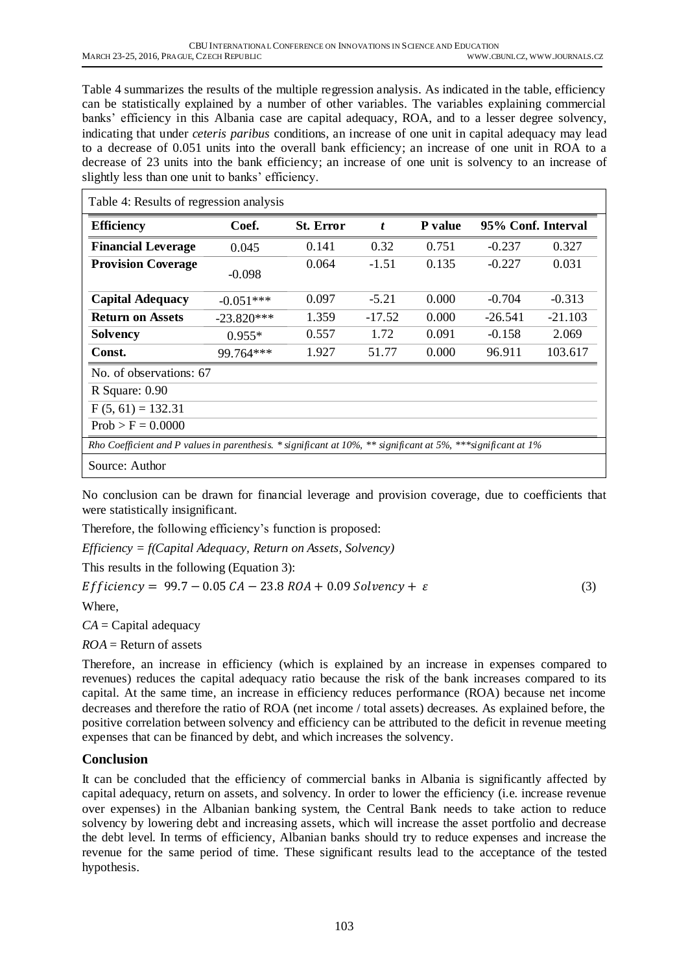Table 4 summarizes the results of the multiple regression analysis. As indicated in the table, efficiency can be statistically explained by a number of other variables. The variables explaining commercial banks' efficiency in this Albania case are capital adequacy, ROA, and to a lesser degree solvency, indicating that under *ceteris paribus* conditions, an increase of one unit in capital adequacy may lead to a decrease of 0.051 units into the overall bank efficiency; an increase of one unit in ROA to a decrease of 23 units into the bank efficiency; an increase of one unit is solvency to an increase of slightly less than one unit to banks' efficiency.

| Table 4: Results of regression analysis                                                                         |              |                  |                  |                |                    |           |  |  |
|-----------------------------------------------------------------------------------------------------------------|--------------|------------------|------------------|----------------|--------------------|-----------|--|--|
| <b>Efficiency</b>                                                                                               | Coef.        | <b>St. Error</b> | $\boldsymbol{t}$ | <b>P</b> value | 95% Conf. Interval |           |  |  |
| <b>Financial Leverage</b>                                                                                       | 0.045        | 0.141            | 0.32             | 0.751          | $-0.237$           | 0.327     |  |  |
| <b>Provision Coverage</b>                                                                                       | $-0.098$     | 0.064            | $-1.51$          | 0.135          | $-0.227$           | 0.031     |  |  |
| <b>Capital Adequacy</b>                                                                                         | $-0.051***$  | 0.097            | $-5.21$          | 0.000          | $-0.704$           | $-0.313$  |  |  |
| <b>Return on Assets</b>                                                                                         | $-23.820***$ | 1.359            | $-17.52$         | 0.000          | $-26.541$          | $-21.103$ |  |  |
| <b>Solvency</b>                                                                                                 | $0.955*$     | 0.557            | 1.72             | 0.091          | $-0.158$           | 2.069     |  |  |
| Const.                                                                                                          | 99.764***    | 1.927            | 51.77            | 0.000          | 96.911             | 103.617   |  |  |
| No. of observations: 67                                                                                         |              |                  |                  |                |                    |           |  |  |
| R Square: $0.90$                                                                                                |              |                  |                  |                |                    |           |  |  |
| $F(5, 61) = 132.31$                                                                                             |              |                  |                  |                |                    |           |  |  |
| $Prob > F = 0.0000$                                                                                             |              |                  |                  |                |                    |           |  |  |
| Rho Coefficient and P values in parenthesis. * significant at $10\%$ ** significant at 5% *** significant at 1% |              |                  |                  |                |                    |           |  |  |
| Source: Author                                                                                                  |              |                  |                  |                |                    |           |  |  |

No conclusion can be drawn for financial leverage and provision coverage, due to coefficients that were statistically insignificant.

Therefore, the following efficiency's function is proposed:

*Efficiency = f(Capital Adequacy, Return on Assets, Solvency)*

This results in the following (Equation 3):

 $Efficiency = 99.7 - 0.05 CA - 23.8 ROA + 0.09 Solvency + \varepsilon$  (3)

Where,

*CA* = Capital adequacy

*ROA* = Return of assets

Therefore, an increase in efficiency (which is explained by an increase in expenses compared to revenues) reduces the capital adequacy ratio because the risk of the bank increases compared to its capital. At the same time, an increase in efficiency reduces performance (ROA) because net income decreases and therefore the ratio of ROA (net income / total assets) decreases. As explained before, the positive correlation between solvency and efficiency can be attributed to the deficit in revenue meeting expenses that can be financed by debt, and which increases the solvency.

## **Conclusion**

It can be concluded that the efficiency of commercial banks in Albania is significantly affected by capital adequacy, return on assets, and solvency. In order to lower the efficiency (i.e. increase revenue over expenses) in the Albanian banking system, the Central Bank needs to take action to reduce solvency by lowering debt and increasing assets, which will increase the asset portfolio and decrease the debt level. In terms of efficiency, Albanian banks should try to reduce expenses and increase the revenue for the same period of time. These significant results lead to the acceptance of the tested hypothesis.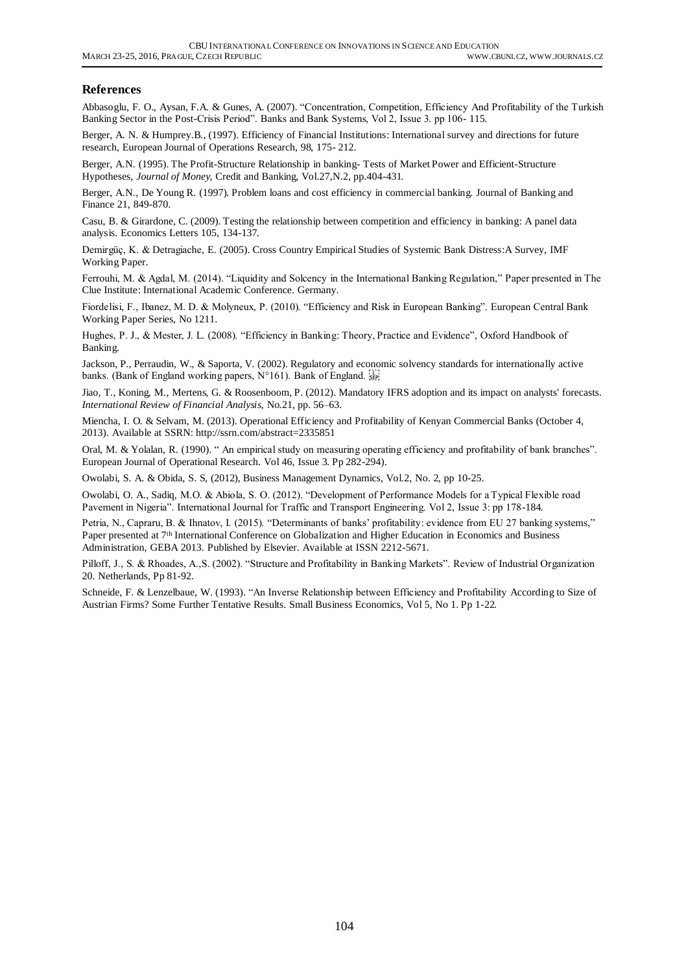#### **References**

Abbasoglu, F. O., Aysan, F.A. & Gunes, A. (2007). "Concentration, Competition, Efficiency And Profitability of the Turkish Banking Sector in the Post-Crisis Period". Banks and Bank Systems, Vol 2, Issue 3. pp 106- 115.

Berger, A. N. & Humprey.B., (1997). Efficiency of Financial Institutions: International survey and directions for future research, European Journal of Operations Research, 98, 175- 212.

Berger, A.N. (1995). The Profit-Structure Relationship in banking- Tests of Market Power and Efficient-Structure Hypotheses, *Journal of Money*, Credit and Banking, Vol.27,N.2, pp.404-431.

Berger, A.N., De Young R. (1997). Problem loans and cost efficiency in commercial banking. Journal of Banking and Finance 21, 849-870.

Casu, B. & Girardone, C. (2009). Testing the relationship between competition and efficiency in banking: A panel data analysis. Economics Letters 105, 134-137.

Demirgüç, K. & Detragiache, E. (2005). Cross Country Empirical Studies of Systemic Bank Distress:A Survey, IMF Working Paper.

Ferrouhi, M. & Agdal, M. (2014). "Liquidity and Solcency in the International Banking Regulation," Paper presented in The Clue Institute: International Academic Conference. Germany.

Fiordelisi, F., Ibanez, M. D. & Molyneux, P. (2010). "Efficiency and Risk in European Banking". European Central Bank Working Paper Series, No 1211.

Hughes, P. J., & Mester, J. L. (2008). "Efficiency in Banking: Theory, Practice and Evidence", Oxford Handbook of Banking.

Jackson, P., Perraudin, W., & Saporta, V. (2002). Regulatory and economic solvency standards for internationally active banks. (Bank of England working papers, N°161). Bank of England.  $\overline{\mathbb{R}}$ 

Jiao, T., Koning, M., Mertens, G. & Roosenboom, P. (2012). Mandatory IFRS adoption and its impact on analysts' forecasts. *International Review of Financial Analysis*, No.21, pp. 56–63.

Miencha, I. O. & Selvam, M. (2013). Operational Efficiency and Profitability of Kenyan Commercial Banks (October 4, 2013). Available at SSRN[: http://ssrn.com/abstract=2335851](http://ssrn.com/abstract=2335851)

Oral, M. & Yolalan, R. (1990). " An empirical study on measuring operating efficiency and profitability of bank branches". European Journal of Operational Research. Vol 46, Issue 3. Pp 282-294).

Owolabi, S. A. & Obida, S. S, (2012), Business Management Dynamics, Vol.2, No. 2, pp 10-25.

Owolabi, O. A., Sadiq, M.O. & Abiola, S. O. (2012). "Development of Performance Models for a Typical Flexible road Pavement in Nigeria". International Journal for Traffic and Transport Engineering. Vol 2, Issue 3: pp 178-184.

Petria, N., Capraru, B. & Ihnatov, I. (2015). "Determinants of banks' profitability: evidence from EU 27 banking systems," Paper presented at 7<sup>th</sup> International Conference on Globalization and Higher Education in Economics and Business Administration, GEBA 2013. Published by Elsevier. Available at ISSN 2212-5671.

Pilloff, J., S. & Rhoades, A.,S. (2002). "Structure and Profitability in Banking Markets". Review of Industrial Organization 20. Netherlands, Pp 81-92.

Schneide, F. & Lenzelbaue, W. (1993). "An Inverse Relationship between Efficiency and Profitability According to Size of Austrian Firms? Some Further Tentative Results. Small Business Economics, Vol 5, No 1. Pp 1-22.